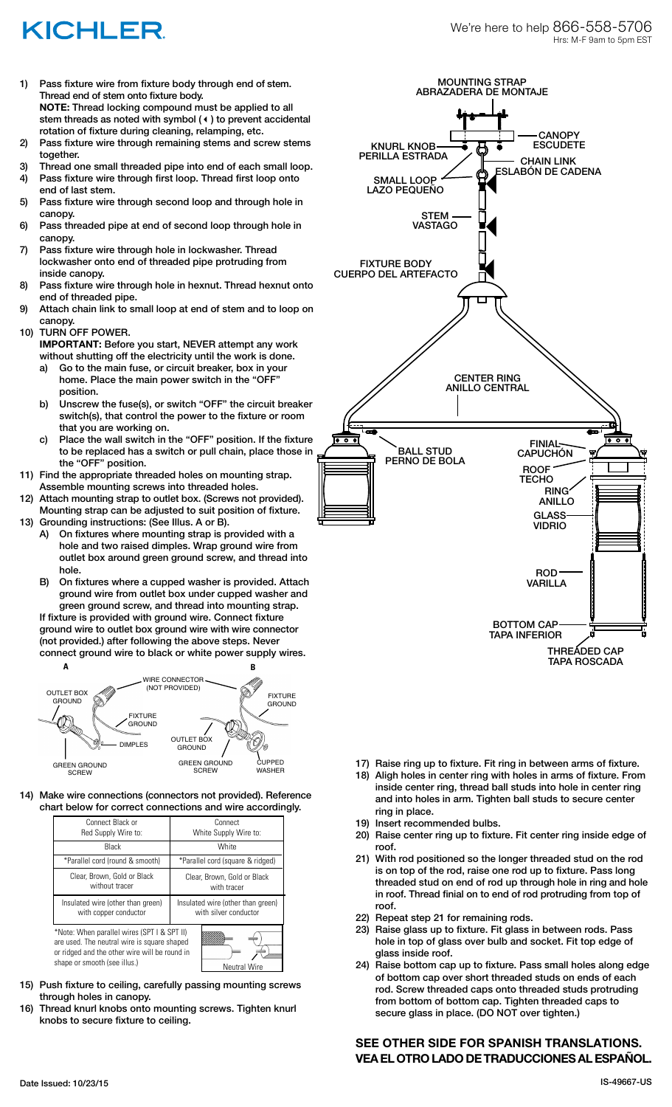## **KICHLER**

- 1) Pass fixture wire from fixture body through end of stem. Thread end of stem onto fixture body. **NOTE:** Thread locking compound must be applied to all stem threads as noted with symbol (4) to prevent accidental rotation of fixture during cleaning, relamping, etc.
- 2) Pass fixture wire through remaining stems and screw stems together.
- 3) Thread one small threaded pipe into end of each small loop.
- 4) Pass fixture wire through first loop. Thread first loop onto end of last stem.
- 5) Pass fixture wire through second loop and through hole in canopy.
- 6) Pass threaded pipe at end of second loop through hole in canopy.
- 7) Pass fixture wire through hole in lockwasher. Thread lockwasher onto end of threaded pipe protruding from inside canopy.
- 8) Pass fixture wire through hole in hexnut. Thread hexnut onto end of threaded pipe.
- 9) Attach chain link to small loop at end of stem and to loop on canopy.
- 10) TURN OFF POWER.
	- **IMPORTANT:** Before you start, NEVER attempt any work without shutting off the electricity until the work is done.
	- a) Go to the main fuse, or circuit breaker, box in your home. Place the main power switch in the "OFF" position.
	- b) Unscrew the fuse(s), or switch "OFF" the circuit breaker switch(s), that control the power to the fixture or room that you are working on.
	- c) Place the wall switch in the "OFF" position. If the fixture to be replaced has a switch or pull chain, place those in the "OFF" position.
- 11) Find the appropriate threaded holes on mounting strap. Assemble mounting screws into threaded holes.
- 12) Attach mounting strap to outlet box. (Screws not provided). Mounting strap can be adjusted to suit position of fixture.
- 13) Grounding instructions: (See Illus. A or B). A) On fixtures where mounting strap is provided with a hole and two raised dimples. Wrap ground wire from outlet box around green ground screw, and thread into hole.
	- B) On fixtures where a cupped washer is provided. Attach ground wire from outlet box under cupped washer and green ground screw, and thread into mounting strap.
	- If fixture is provided with ground wire. Connect fixture ground wire to outlet box ground wire with wire connector (not provided.) after following the above steps. Never connect ground wire to black or white power supply wires.



14) Make wire connections (connectors not provided). Reference chart below for correct connections and wire accordingly.

| Connect Black or<br>Red Supply Wire to:                                                                                                                                                            | Connect<br>White Supply Wire to:                           |
|----------------------------------------------------------------------------------------------------------------------------------------------------------------------------------------------------|------------------------------------------------------------|
| Black                                                                                                                                                                                              | White                                                      |
| *Parallel cord (round & smooth)                                                                                                                                                                    | *Parallel cord (square & ridged)                           |
| Clear, Brown, Gold or Black<br>without tracer                                                                                                                                                      | Clear, Brown, Gold or Black<br>with tracer                 |
| Insulated wire (other than green)<br>with copper conductor                                                                                                                                         | Insulated wire (other than green)<br>with silver conductor |
| *Note: When parallel wires (SPT I & SPT II)<br>are used. The neutral wire is square shaped<br>or ridged and the other wire will be round in<br>shape or smooth (see illus.)<br><b>Neutral Wire</b> |                                                            |

- 15) Push fixture to ceiling, carefully passing mounting screws through holes in canopy.
- 16) Thread knurl knobs onto mounting screws. Tighten knurl knobs to secure fixture to ceiling.



- 17) Raise ring up to fixture. Fit ring in between arms of fixture.
- 18) Aligh holes in center ring with holes in arms of fixture. From inside center ring, thread ball studs into hole in center ring and into holes in arm. Tighten ball studs to secure center ring in place.
- 19) Insert recommended bulbs.
- 20) Raise center ring up to fixture. Fit center ring inside edge of roof.
- 21) With rod positioned so the longer threaded stud on the rod is on top of the rod, raise one rod up to fixture. Pass long threaded stud on end of rod up through hole in ring and hole in roof. Thread finial on to end of rod protruding from top of roof.
- 22) Repeat step 21 for remaining rods.
- 23) Raise glass up to fixture. Fit glass in between rods. Pass hole in top of glass over bulb and socket. Fit top edge of glass inside roof.
- 24) Raise bottom cap up to fixture. Pass small holes along edge of bottom cap over short threaded studs on ends of each rod. Screw threaded caps onto threaded studs protruding from bottom of bottom cap. Tighten threaded caps to secure glass in place. (DO NOT over tighten.)

## **SEE OTHER SIDE FOR SPANISH TRANSLATIONS. VEA EL OTRO LADO DE TRADUCCIONES AL ESPAÑOL.**